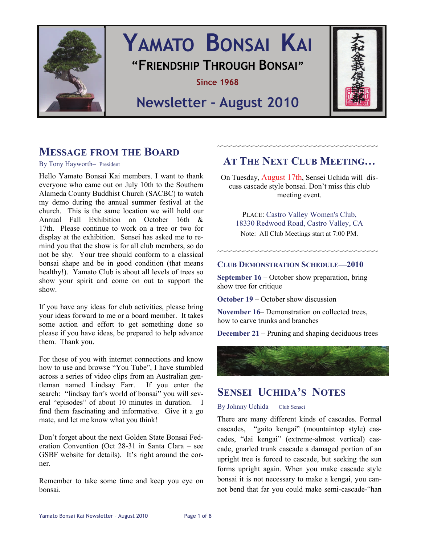

# **YAMATO BONSAI KAI "FRIENDSHIP THROUGH BONSAI"**

**Since 1968** 

## **Newsletter – August 2010**



### **MESSAGE FROM THE BOARD**

#### By Tony Hayworth– President

Hello Yamato Bonsai Kai members. I want to thank everyone who came out on July 10th to the Southern Alameda County Buddhist Church (SACBC) to watch my demo during the annual summer festival at the church. This is the same location we will hold our Annual Fall Exhibition on October 16th & 17th. Please continue to work on a tree or two for display at the exhibition. Sensei has asked me to remind you that the show is for all club members, so do not be shy. Your tree should conform to a classical bonsai shape and be in good condition (that means healthy!). Yamato Club is about all levels of trees so show your spirit and come on out to support the show.

If you have any ideas for club activities, please bring your ideas forward to me or a board member. It takes some action and effort to get something done so please if you have ideas, be prepared to help advance them. Thank you.

For those of you with internet connections and know how to use and browse "You Tube", I have stumbled across a series of video clips from an Australian gentleman named Lindsay Farr. If you enter the search: "lindsay farr's world of bonsai" you will several "episodes" of about 10 minutes in duration. I find them fascinating and informative. Give it a go mate, and let me know what you think!

Don't forget about the next Golden State Bonsai Federation Convention (Oct 28-31 in Santa Clara – see GSBF website for details). It's right around the corner.

Remember to take some time and keep you eye on bonsai.

### **AT THE NEXT CLUB MEETING…**

~~~~~~~~~~~~~~~~~~~~~~~~~~~~~~~~~~~

On Tuesday, August 17th, Sensei Uchida will discuss cascade style bonsai. Don't miss this club meeting event.

PLACE: Castro Valley Women's Club, 18330 Redwood Road, Castro Valley, CA Note: All Club Meetings start at 7:00 PM.

~~~~~~~~~~~~~~~~~~~~~~~~~~~~~~~~~~~~

#### **CLUB DEMONSTRATION SCHEDULE—2010**

**September 16** – October show preparation, bring show tree for critique

**October 19 – October show discussion** 

**November 16– Demonstration on collected trees.** how to carve trunks and branches

**December 21** – Pruning and shaping deciduous trees



### **SENSEI UCHIDA'S NOTES**

By Johnny Uchida – Club Sensei

There are many different kinds of cascades. Formal cascades, "gaito kengai" (mountaintop style) cascades, "dai kengai" (extreme-almost vertical) cascade, gnarled trunk cascade a damaged portion of an upright tree is forced to cascade, but seeking the sun forms upright again. When you make cascade style bonsai it is not necessary to make a kengai, you cannot bend that far you could make semi-cascade-"han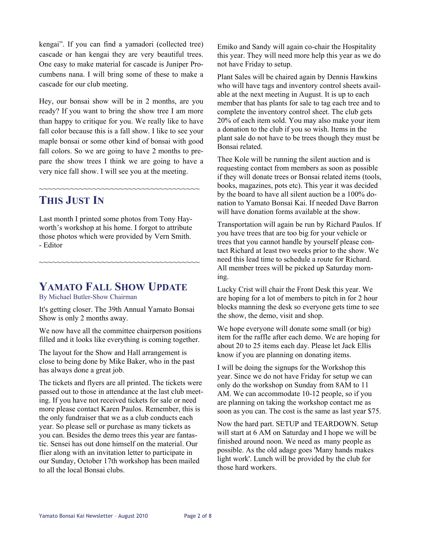kengai". If you can find a yamadori (collected tree) cascade or han kengai they are very beautiful trees. One easy to make material for cascade is Juniper Procumbens nana. I will bring some of these to make a cascade for our club meeting.

Hey, our bonsai show will be in 2 months, are you ready? If you want to bring the show tree I am more than happy to critique for you. We really like to have fall color because this is a fall show. I like to see your maple bonsai or some other kind of bonsai with good fall colors. So we are going to have 2 months to prepare the show trees I think we are going to have a very nice fall show. I will see you at the meeting.

~~~~~~~~~~~~~~~~~~~~~~~~~~~~~~~~~~~~

### **THIS JUST IN**

Last month I printed some photos from Tony Hayworth's workshop at his home. I forgot to attribute those photos which were provided by Vern Smith. - Editor

~~~~~~~~~~~~~~~~~~~~~~~~~~~~~~~~~~~~

### **YAMATO FALL SHOW UPDATE**

By Michael Butler-Show Chairman

It's getting closer. The 39th Annual Yamato Bonsai Show is only 2 months away.

We now have all the committee chairperson positions filled and it looks like everything is coming together.

The layout for the Show and Hall arrangement is close to being done by Mike Baker, who in the past has always done a great job.

The tickets and flyers are all printed. The tickets were passed out to those in attendance at the last club meeting. If you have not received tickets for sale or need more please contact Karen Paulos. Remember, this is the only fundraiser that we as a club conducts each year. So please sell or purchase as many tickets as you can. Besides the demo trees this year are fantastic. Sensei has out done himself on the material. Our flier along with an invitation letter to participate in our Sunday, October 17th workshop has been mailed to all the local Bonsai clubs.

Emiko and Sandy will again co-chair the Hospitality this year. They will need more help this year as we do not have Friday to setup.

Plant Sales will be chaired again by Dennis Hawkins who will have tags and inventory control sheets available at the next meeting in August. It is up to each member that has plants for sale to tag each tree and to complete the inventory control sheet. The club gets 20% of each item sold. You may also make your item a donation to the club if you so wish. Items in the plant sale do not have to be trees though they must be Bonsai related.

Thee Kole will be running the silent auction and is requesting contact from members as soon as possible if they will donate trees or Bonsai related items (tools, books, magazines, pots etc). This year it was decided by the board to have all silent auction be a 100% donation to Yamato Bonsai Kai. If needed Dave Barron will have donation forms available at the show.

Transportation will again be run by Richard Paulos. If you have trees that are too big for your vehicle or trees that you cannot handle by yourself please contact Richard at least two weeks prior to the show. We need this lead time to schedule a route for Richard. All member trees will be picked up Saturday morning.

Lucky Crist will chair the Front Desk this year. We are hoping for a lot of members to pitch in for 2 hour blocks manning the desk so everyone gets time to see the show, the demo, visit and shop.

We hope everyone will donate some small (or big) item for the raffle after each demo. We are hoping for about 20 to 25 items each day. Please let Jack Ellis know if you are planning on donating items.

I will be doing the signups for the Workshop this year. Since we do not have Friday for setup we can only do the workshop on Sunday from 8AM to 11 AM. We can accommodate 10-12 people, so if you are planning on taking the workshop contact me as soon as you can. The cost is the same as last year \$75.

Now the hard part. SETUP and TEARDOWN. Setup will start at 6 AM on Saturday and I hope we will be finished around noon. We need as many people as possible. As the old adage goes 'Many hands makes light work'. Lunch will be provided by the club for those hard workers.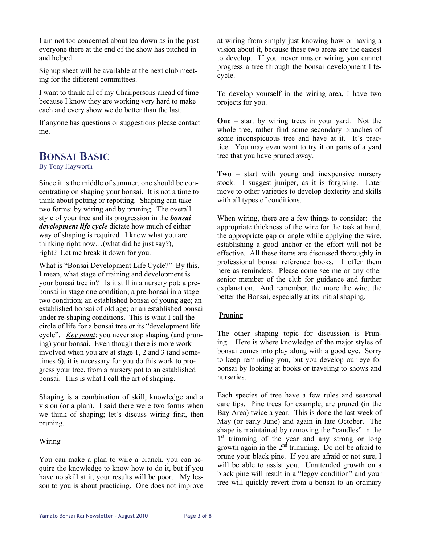I am not too concerned about teardown as in the past everyone there at the end of the show has pitched in and helped.

Signup sheet will be available at the next club meeting for the different committees.

I want to thank all of my Chairpersons ahead of time because I know they are working very hard to make each and every show we do better than the last.

If anyone has questions or suggestions please contact me.

### **BONSAI BASIC**

By Tony Hayworth

Since it is the middle of summer, one should be concentrating on shaping your bonsai. It is not a time to think about potting or repotting. Shaping can take two forms: by wiring and by pruning. The overall style of your tree and its progression in the *bonsai development life cycle* dictate how much of either way of shaping is required. I know what you are thinking right now…(what did he just say?), right? Let me break it down for you.

What is "Bonsai Development Life Cycle?" By this, I mean, what stage of training and development is your bonsai tree in? Is it still in a nursery pot; a prebonsai in stage one condition; a pre-bonsai in a stage two condition; an established bonsai of young age; an established bonsai of old age; or an established bonsai under re-shaping conditions. This is what I call the circle of life for a bonsai tree or its "development life cycle". *Key point*: you never stop shaping (and pruning) your bonsai. Even though there is more work involved when you are at stage 1, 2 and 3 (and sometimes 6), it is necessary for you do this work to progress your tree, from a nursery pot to an established bonsai. This is what I call the art of shaping.

Shaping is a combination of skill, knowledge and a vision (or a plan). I said there were two forms when we think of shaping; let's discuss wiring first, then pruning.

#### Wiring

You can make a plan to wire a branch, you can acquire the knowledge to know how to do it, but if you have no skill at it, your results will be poor. My lesson to you is about practicing. One does not improve at wiring from simply just knowing how or having a vision about it, because these two areas are the easiest to develop. If you never master wiring you cannot progress a tree through the bonsai development lifecycle.

To develop yourself in the wiring area, I have two projects for you.

**One** – start by wiring trees in your yard. Not the whole tree, rather find some secondary branches of some inconspicuous tree and have at it. It's practice. You may even want to try it on parts of a yard tree that you have pruned away.

**Two** – start with young and inexpensive nursery stock. I suggest juniper, as it is forgiving. Later move to other varieties to develop dexterity and skills with all types of conditions.

When wiring, there are a few things to consider: the appropriate thickness of the wire for the task at hand, the appropriate gap or angle while applying the wire, establishing a good anchor or the effort will not be effective. All these items are discussed thoroughly in professional bonsai reference books. I offer them here as reminders. Please come see me or any other senior member of the club for guidance and further explanation. And remember, the more the wire, the better the Bonsai, especially at its initial shaping.

#### Pruning

The other shaping topic for discussion is Pruning. Here is where knowledge of the major styles of bonsai comes into play along with a good eye. Sorry to keep reminding you, but you develop our eye for bonsai by looking at books or traveling to shows and nurseries.

Each species of tree have a few rules and seasonal care tips. Pine trees for example, are pruned (in the Bay Area) twice a year. This is done the last week of May (or early June) and again in late October. The shape is maintained by removing the "candles" in the 1<sup>st</sup> trimming of the year and any strong or long growth again in the  $2<sup>nd</sup>$  trimming. Do not be afraid to prune your black pine. If you are afraid or not sure, I will be able to assist you. Unattended growth on a black pine will result in a "leggy condition" and your tree will quickly revert from a bonsai to an ordinary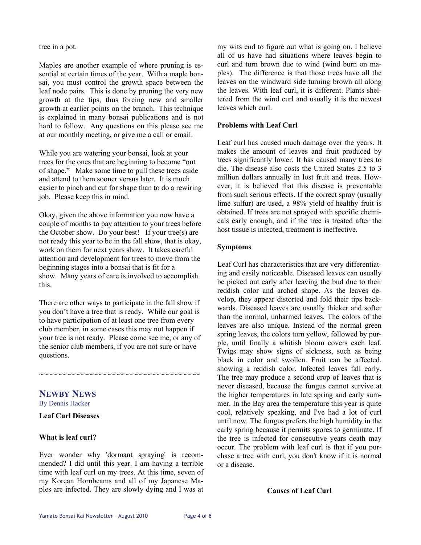tree in a pot.

Maples are another example of where pruning is essential at certain times of the year. With a maple bonsai, you must control the growth space between the leaf node pairs. This is done by pruning the very new growth at the tips, thus forcing new and smaller growth at earlier points on the branch. This technique is explained in many bonsai publications and is not hard to follow. Any questions on this please see me at our monthly meeting, or give me a call or email.

While you are watering your bonsai, look at your trees for the ones that are beginning to become "out of shape." Make some time to pull these trees aside and attend to them sooner versus later. It is much easier to pinch and cut for shape than to do a rewiring job. Please keep this in mind.

Okay, given the above information you now have a couple of months to pay attention to your trees before the October show. Do your best! If your tree(s) are not ready this year to be in the fall show, that is okay, work on them for next years show. It takes careful attention and development for trees to move from the beginning stages into a bonsai that is fit for a show. Many years of care is involved to accomplish this.

There are other ways to participate in the fall show if you don't have a tree that is ready. While our goal is to have participation of at least one tree from every club member, in some cases this may not happen if your tree is not ready. Please come see me, or any of the senior club members, if you are not sure or have questions.

~~~~~~~~~~~~~~~~~~~~~~~~~~~~~~~~~~~~

**NEWBY NEWS**

By Dennis Hacker

#### **Leaf Curl Diseases**

#### **What is leaf curl?**

Ever wonder why 'dormant spraying' is recommended? I did until this year. I am having a terrible time with leaf curl on my trees. At this time, seven of my Korean Hornbeams and all of my Japanese Maples are infected. They are slowly dying and I was at my wits end to figure out what is going on. I believe all of us have had situations where leaves begin to curl and turn brown due to wind (wind burn on maples). The difference is that those trees have all the leaves on the windward side turning brown all along the leaves. With leaf curl, it is different. Plants sheltered from the wind curl and usually it is the newest leaves which curl.

#### **Problems with Leaf Curl**

Leaf curl has caused much damage over the years. It makes the amount of leaves and fruit produced by trees significantly lower. It has caused many trees to die. The disease also costs the United States 2.5 to 3 million dollars annually in lost fruit and trees. However, it is believed that this disease is preventable from such serious effects. If the correct spray (usually lime sulfur) are used, a 98% yield of healthy fruit is obtained. If trees are not sprayed with specific chemicals early enough, and if the tree is treated after the host tissue is infected, treatment is ineffective.

#### **Symptoms**

Leaf Curl has characteristics that are very differentiating and easily noticeable. Diseased leaves can usually be picked out early after leaving the bud due to their reddish color and arched shape. As the leaves develop, they appear distorted and fold their tips backwards. Diseased leaves are usually thicker and softer than the normal, unharmed leaves. The colors of the leaves are also unique. Instead of the normal green spring leaves, the colors turn yellow, followed by purple, until finally a whitish bloom covers each leaf. Twigs may show signs of sickness, such as being black in color and swollen. Fruit can be affected, showing a reddish color. Infected leaves fall early. The tree may produce a second crop of leaves that is never diseased, because the fungus cannot survive at the higher temperatures in late spring and early summer. In the Bay area the temperature this year is quite cool, relatively speaking, and I've had a lot of curl until now. The fungus prefers the high humidity in the early spring because it permits spores to germinate. If the tree is infected for consecutive years death may occur. The problem with leaf curl is that if you purchase a tree with curl, you don't know if it is normal or a disease.

#### **Causes of Leaf Curl**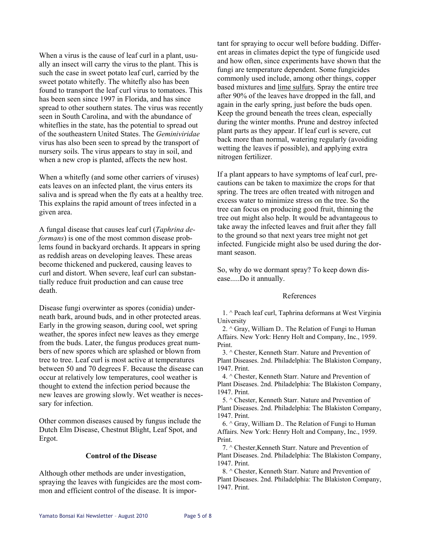When a virus is the cause of leaf curl in a plant, usually an insect will carry the virus to the plant. This is such the case in sweet potato leaf curl, carried by the sweet potato whitefly. The whitefly also has been found to transport the leaf curl virus to tomatoes. This has been seen since 1997 in Florida, and has since spread to other southern states. The virus was recently seen in South Carolina, and with the abundance of whiteflies in the state, has the potential to spread out of the southeastern United States. The *Geminiviridae* virus has also been seen to spread by the transport of nursery soils. The virus appears to stay in soil, and when a new crop is planted, affects the new host.

When a whitefly (and some other carriers of viruses) eats leaves on an infected plant, the virus enters its saliva and is spread when the fly eats at a healthy tree. This explains the rapid amount of trees infected in a given area.

A fungal disease that causes leaf curl (*Taphrina deformans*) is one of the most common disease problems found in backyard orchards. It appears in spring as reddish areas on developing leaves. These areas become thickened and puckered, causing leaves to curl and distort. When severe, leaf curl can substantially reduce fruit production and can cause tree death.

Disease fungi overwinter as spores (conidia) underneath bark, around buds, and in other protected areas. Early in the growing season, during cool, wet spring weather, the spores infect new leaves as they emerge from the buds. Later, the fungus produces great numbers of new spores which are splashed or blown from tree to tree. Leaf curl is most active at temperatures between 50 and 70 degrees F. Because the disease can occur at relatively low temperatures, cool weather is thought to extend the infection period because the new leaves are growing slowly. Wet weather is necessary for infection.

Other common diseases caused by fungus include the Dutch Elm Disease, Chestnut Blight, Leaf Spot, and Ergot.

#### **Control of the Disease**

Although other methods are under investigation, spraying the leaves with fungicides are the most common and efficient control of the disease. It is important for spraying to occur well before budding. Different areas in climates depict the type of fungicide used and how often, since experiments have shown that the fungi are temperature dependent. Some fungicides commonly used include, among other things, copper based mixtures and lime sulfurs. Spray the entire tree after 90% of the leaves have dropped in the fall, and again in the early spring, just before the buds open. Keep the ground beneath the trees clean, especially during the winter months. Prune and destroy infected plant parts as they appear. If leaf curl is severe, cut back more than normal, watering regularly (avoiding wetting the leaves if possible), and applying extra nitrogen fertilizer.

If a plant appears to have symptoms of leaf curl, precautions can be taken to maximize the crops for that spring. The trees are often treated with nitrogen and excess water to minimize stress on the tree. So the tree can focus on producing good fruit, thinning the tree out might also help. It would be advantageous to take away the infected leaves and fruit after they fall to the ground so that next years tree might not get infected. Fungicide might also be used during the dormant season.

So, why do we dormant spray? To keep down disease.....Do it annually.

#### References

 1. ^ Peach leaf curl, Taphrina deformans at West Virginia University

 2. ^ Gray, William D.. The Relation of Fungi to Human Affairs. New York: Henry Holt and Company, Inc., 1959. Print.

 3. ^ Chester, Kenneth Starr. Nature and Prevention of Plant Diseases. 2nd. Philadelphia: The Blakiston Company, 1947. Print.

 4. ^ Chester, Kenneth Starr. Nature and Prevention of Plant Diseases. 2nd. Philadelphia: The Blakiston Company, 1947. Print.

 5. ^ Chester, Kenneth Starr. Nature and Prevention of Plant Diseases. 2nd. Philadelphia: The Blakiston Company, 1947. Print.

 6. ^ Gray, William D.. The Relation of Fungi to Human Affairs. New York: Henry Holt and Company, Inc., 1959. Print.

 7. ^ Chester,Kenneth Starr. Nature and Prevention of Plant Diseases. 2nd. Philadelphia: The Blakiston Company, 1947. Print.

 8. ^ Chester, Kenneth Starr. Nature and Prevention of Plant Diseases. 2nd. Philadelphia: The Blakiston Company, 1947. Print.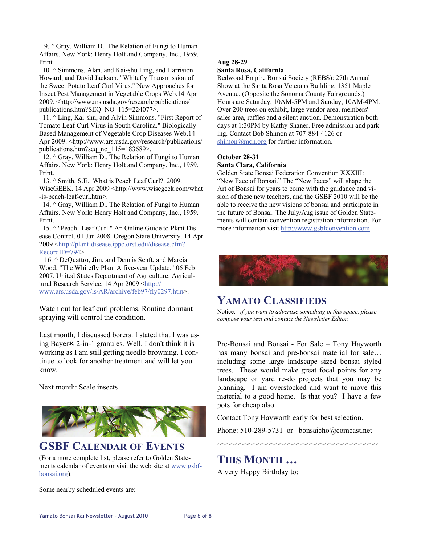9. ^ Gray, William D.. The Relation of Fungi to Human Affairs. New York: Henry Holt and Company, Inc., 1959. Print

 10. ^ Simmons, Alan, and Kai-shu Ling, and Harrision Howard, and David Jackson. "Whitefly Transmission of the Sweet Potato Leaf Curl Virus." New Approaches for Insect Pest Management in Vegetable Crops Web.14 Apr 2009. <http://www.ars.usda.gov/research/publications/ publications.htm?SEQ\_NO\_115=224077>.

 11. ^ Ling, Kai-shu, and Alvin Simmons. "First Report of Tomato Leaf Curl Virus in South Carolina." Biologically Based Management of Vegetable Crop Diseases Web.14 Apr 2009. <http://www.ars.usda.gov/research/publications/ publications.htm?seq\_no\_115=183689>.

12.  $\land$  Gray, William D.. The Relation of Fungi to Human Affairs. New York: Henry Holt and Company, Inc., 1959. Print.

 13. ^ Smith, S.E.. What is Peach Leaf Curl?. 2009. WiseGEEK. 14 Apr 2009 <http://www.wisegeek.com/what -is-peach-leaf-curl.htm>.

 14. ^ Gray, William D.. The Relation of Fungi to Human Affairs. New York: Henry Holt and Company, Inc., 1959. Print.

 15. ^ "Peach--Leaf Curl." An Online Guide to Plant Disease Control. 01 Jan 2008. Oregon State University. 14 Apr 2009 <[http://plant-disease.ippc.orst.edu/disease.cfm?](http://plant-disease.ippc.orst.edu/disease.cfm?RecordID=794) [RecordID=794>](http://plant-disease.ippc.orst.edu/disease.cfm?RecordID=794).

 16. ^ DeQuattro, Jim, and Dennis Senft, and Marcia Wood. "The Whitefly Plan: A five-year Update." 06 Feb 2007. United States Department of Agriculture: Agricultural Research Service. 14 Apr 2009 <[http://](http://www.ars.usda.gov/is/AR/archive/feb97/fly0297.htm) [www.ars.usda.gov/is/AR/archive/feb97/fly0297.htm>](http://www.ars.usda.gov/is/AR/archive/feb97/fly0297.htm).

Watch out for leaf curl problems. Routine dormant spraying will control the condition.

Last month, I discussed borers. I stated that I was using Bayer® 2-in-1 granules. Well, I don't think it is working as I am still getting needle browning. I continue to look for another treatment and will let you know.

Next month: Scale insects



### **GSBF CALENDAR OF EVENTS**

(For a more complete list, please refer to Golden Statements calendar of events or visit the web site at [www.gsbf](http://www.gsbf-bonsai.org/)[bonsai.org\)](http://www.gsbf-bonsai.org/).

#### **Aug 28-29 Santa Rosa, California**

Redwood Empire Bonsai Society (REBS): 27th Annual Show at the Santa Rosa Veterans Building, 1351 Maple Avenue. (Opposite the Sonoma County Fairgrounds.) Hours are Saturday, 10AM-5PM and Sunday, 10AM-4PM. Over 200 trees on exhibit, large vendor area, members' sales area, raffles and a silent auction. Demonstration both days at 1:30PM by Kathy Shaner. Free admission and parking. Contact Bob Shimon at 707-884-4126 or [shimon@mcn.org](mailto:shimon@mcn.org) for further information.

#### **October 28-31 Santa Clara, California**

Golden State Bonsai Federation Convention XXXIII: "New Face of Bonsai." The "New Faces" will shape the Art of Bonsai for years to come with the guidance and vision of these new teachers, and the GSBF 2010 will be the able to receive the new visions of bonsai and participate in the future of Bonsai. The July/Aug issue of Golden Statements will contain convention registration information. For more information visit<http://www.gsbfconvention.com>



### **YAMATO CLASSIFIEDS**

Notice: *if you want to advertise something in this space, please compose your text and contact the Newsletter Editor.* 

Pre-Bonsai and Bonsai - For Sale – Tony Hayworth has many bonsai and pre-bonsai material for sale... including some large landscape sized bonsai styled trees. These would make great focal points for any landscape or yard re-do projects that you may be planning. I am overstocked and want to move this material to a good home. Is that you? I have a few pots for cheap also.

Contact Tony Hayworth early for best selection.

Phone: 510-289-5731 or bonsaicho@comcast.net

~~~~~~~~~~~~~~~~~~~~~~~~~~~~~~~~~~~~

**THIS MONTH …** 

A very Happy Birthday to:

Some nearby scheduled events are: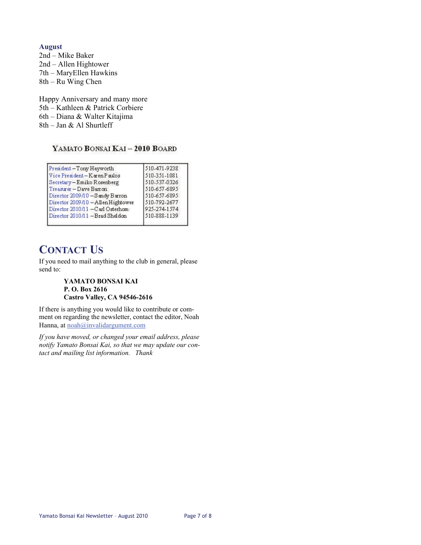**August**  2nd – Mike Baker 2nd – Allen Hightower 7th – MaryEllen Hawkins 8th – Ru Wing Chen

Happy Anniversary and many more 5th – Kathleen & Patrick Corbiere 6th – Diana & Walter Kitajima 8th – Jan & Al Shurtleff

#### YAMATO BONSAI KAI - 2010 BOARD

| President-Tony Hayworth            | 510-471-9238 |
|------------------------------------|--------------|
| Vice President-Karen Paulos        | 510-351-1081 |
| Secretary-Emiko Rosenberg          | 510-537-0326 |
| Treasurer - Dave Barron            | 510-657-6895 |
| Director 2009/10 - Sandy Barron    | 510-657-6895 |
| Director 2009/10 - Allen Hightower | 510-792-2677 |
| Director 2010/11 -Carl Osterhom    | 925-274-1574 |
| Director 2010/11 -Brad Sheldon     | 510-888-1139 |

### **CONTACT US**

If you need to mail anything to the club in general, please send to:

#### **YAMATO BONSAI KAI P. O. Box 2616 Castro Valley, CA 94546-2616**

If there is anything you would like to contribute or comment on regarding the newsletter, contact the editor, Noah Hanna, at noah@invalidargument.com

*If you have moved, or changed your email address, please notify Yamato Bonsai Kai, so that we may update our contact and mailing list information. Thank*